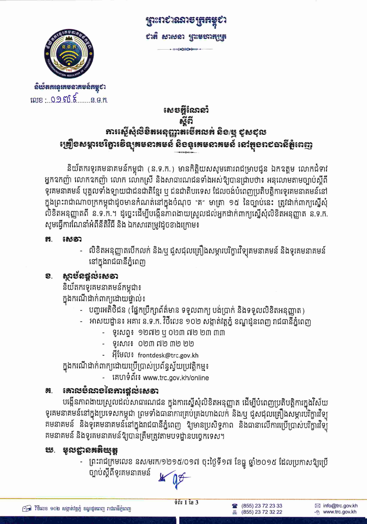

ฉิเษ็สสเฉูเสยอาสยอ์สมุชา  $102.0905$   $5.0905$  **ព្រះរា**សារសម្រុកអ សង សាសនា ព្រះមហាតុប្រត

### សេចអ្អីណែនាំ ಕ್ತನ ភារស្តើសុំលិខិតអនុញ្ញាតមើតលត់ សិ១/ម្មុ ខូសខុល ង្រៀ្រិខសម្ភារមេរិក្ខារទិន្យុគមនាគមន៍ និខនូរគមនាគមន៍ នៅតួខព៩ឆានីតំូពេញ

និយ័តករទូរគមនាគមន៍កម្ពុជា (ន.ទ.ក.) មានកិត្តិយសសូមគោរពជម្រាបជូន ឯកឧត្តម លោកជំទាវ អ្នកឧកញ៉ា លោកឧកញ៉ា លោក លោកស្រី និងសាធារណជនទាំងអស់ឱ្យបានជ្រាបថា៖ អនុលោមតាមច្បាប់ស្តីពី ទូរគមនាគមន៍ បុគ្គលទាំងឡាយជាជនជាតិខ្មែរ ឬ ជនជាតិបរទេស ដែលចង់បំពេញប្រតិបត្តិការទូរគមនាគមន៍នៅ ក្នុងព្រះរាជាណាចក្រកម្ពុជាដូចមានកំណត់នៅក្នុងចំណុច "គ″ មាត្រា ១៥ នៃច្បាប់នេះ ត្រូវដាក់ពាក្យស្នើសុំ លិខិតអនុញ្ញាតពី ន.ទ.ក.។ ដូច្នេះដើម្បីបង្កើនកាពងាយស្រួលដល់អ្នកដាក់ពាក្យស្នើសុំលិខិតអនុញ្ញាត ន.ទ.ក. សូមធ្វើការណែនាំអំពីនីតិវិធី និង ឯកសារតម្រូវដូចខាងក្រោម៖

#### Ħ. සෙන

លិខិតអនុញ្ញាតបើកលក់ និង/ឬ ជួសជុលគ្រឿងសម្ភារបរិក្ខារវិទ្យុគមនាគមន៍ និងទូរគមនាគមន៍ នៅក្នុងរាជធានីភ្នំពេញ

#### ຄຸກຮັດສຸກະເຄອາ ව.

និយ័តករទូរគមនាគមន៍កម្ពុជា៖ ក្នុងករណីដាក់ពាក្យដោយផ្ទាល់៖

- បញ្ហរអតិថិជន (ផ្នែកប្រឹក្សាព័ត៌មាន ទទួលពាក្យ បង់ប្រាក់ និងទទួលលិខិតអនុញ្ញាត)
- អាសយដ្ឋាន៖ អគារ ន.ទ.ក. វិថីលេខ ១០២ សង្កាត់វត្តភ្នំ ខណ្ឌដូនពេញ រាជធានីភ្នំពេញ
	- ទូរសព្ទ៖ ១២៧២ ឬ ០២៣ ៧២ ២៣ ៣៣
	- ទូរសាវ៖ ០២៣ ៧២ ៣២ ២២
	- អ៊ីមែល៖ frontdesk@trc.gov.kh

ក្នុងករណីដាក់ពាក្យដោយប្រើប្រាស់ប្រព័ន្ធស្វ័យប្រវត្តិកម្ម៖

គេហទំព័រ៖ www.trc.gov.kh/online

#### **គោលមំលា**ខនៃការផ្តល់សេទា Ħ.

បង្កើនភាពងាយស្រួលដល់សាធារណជន ក្នុងការស្នើសុំលិខិតអនុញ្ញាត ដើម្បីបំពេញប្រតិបត្តិការក្នុងវិស័យ ទូរគមនាគមន៍នៅក្នុងប្រទេសកម្ពុជា ព្រមទាំងធានាការគ្រប់គ្រងហាងលក់ និង/ឬ ជួសជុលគ្រឿងសម្ភារបរិក្ខារវិទ្យ គមនាគមន៍ និងទូគេមនាគមន៍នៅក្នុងរាជធានីភ្នំពេញ ឱ្យមានប្រសិទ្ធភាព និងធានាលើការប្រើប្រាស់បរិក្ខារវិទ្យ គមនាគមន៍ និងទូរគមនាគមន៍ឱ្យបានត្រឹមត្រូវតាមបទដ្ឋានបច្ចេកទេស។

### ឃ. មុលដ្ឋានគតិយុត្ត

ព្រះរាជក្រមលេខ នស/មរក/១២១៥/០១៧ ចុះថ្ងៃទី១៧ ខែធ្នូ ឆ្នាំ២០១៥ ដែលប្រកាសឱ្យប្រើ ច្បាប់ស្តីពីទូរគមនាគមន៍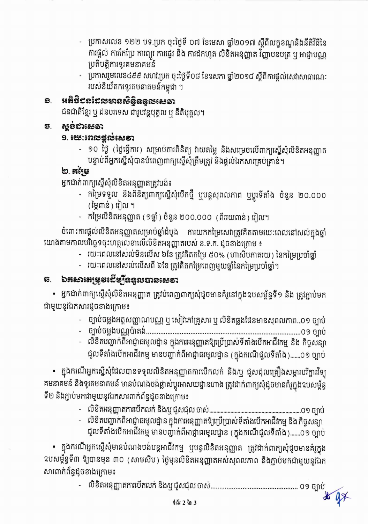- ប្រកាសលេខ ១២២ បទ.ប្រក ចុះថ្ងៃទី ០៧ ខែមេសា ឆ្នាំ២០១៧ ស្តីពីលក្ខខណ្ឌនិងនីតិវិធីនៃ ការផ្តល់ ការកែប្រែ ការព្យួរ ការផ្ទេរ និង ការដកហូត លិខិតអនុញ្ញាត វិញ្ញាបនបត្រ ឬ អាជ្ញាបណ្ណ ប្រតិបត្តិការទូរគមនាគមន៍
- ប្រកាសរួមលេខ៤៩៩ សហវ.ប្រក ចុះថ្ងៃទី០៨ ខែឧសភា ឆ្នាំ២០១៨ ស្តីពីការផ្តល់សេវាសាធារណៈ របស់និយ័តករទូរគមនាគមន៍កម្ពុជា ។

#### អតិថិបនដែលមានសិន្តិននួលសេទា ව.

ជនជាតិខ្មែរ ឬ ជនបរទេស ជារូបវន្តបុគ្គល ឬ នីតិបុគ្គល។

#### *ស្ទប់ជាសេទា* S.

### $9.$   $5.5000$

- ១០ ថ្ងៃ (ថ្ងៃធ្វើការ) សម្រាប់ការពិនិត្យ វាយតម្លៃ និងសម្រេចលើពាក្យស្នើសុំលិខិតអនុញ្ញាត បន្ទាប់ពីអ្នកស្នើសុំបានបំពេញពាក្យស្នើសុំត្រឹមត្រូវ និងផ្តល់ឯកសារគ្រប់គ្រាន់។

## ២. អចិទ្រ

អ្នកដាក់ពាក្យស្នើសុំលិខិតអនុញ្ញាតត្រូវបង់៖

- កម្រៃទទួល និងពិនិត្យពាក្យស្នើសុំបើកថ្មី ឬបន្តសុពលភាព ឬប្តូរទីតាំង ចំនួន ២០.០០០ (មៃពាន់) រៀល ។
- កម្រៃលិខិតអនុញ្ញាត (១ឆ្នាំ ) ចំនួន ២០០.០០០ (ពីររយពាន់ ) រៀល។

ចំពោះការផ្តល់លិខិតអនុញ្ញាតសម្រាប់ឆ្នាំដំបូង ការយកកម្រៃសេវាត្រូវគិតតាមរយៈពេលនៅសល់ក្នុងឆ្នាំ យោងតាមកាលបរិច្ឆេទចុះហត្ថលេខាលើលិខិតអនុញ្ញាតរបស់ ន.ទ.ក. ដូចខាងក្រោម ៖

- រយៈពេលនៅសល់មិនលើស ៦ខែ ត្រូវគិតកម្រៃ ៥០% (ហាសិបភាគរយ) នៃកម្រៃប្រចាំផ្នាំ
- រយៈពេលនៅសល់លើសពី ៦ខែ ត្រូវគិតកម្រៃពេញមួយថ្នាំនៃកម្រៃប្រចាំឆ្នាំ។

# ឆ. ឯគសារតម្រុចដើម្បីឧទួលបានសេទា

• អ្នកដាក់ពាក្យស្នើសុំលិខិតអនុញ្ញាត ត្រូវបំពេញពាក្យសុំដូចមានគំរូនៅក្នុងឧបសម្ព័ន្ធទី១ និង ត្រូវក្ជាប់មក ជាមួយនូវឯកសារដូចខាងក្រោម៖

- ប្បាប់ចម្លងអត្តសញ្ញាណបណ្ណ ឬ សៀវភៅគ្រួសារ ឬ លិខិតឆ្លងដែនមានសុពលភាព..០១ ច្បាប់
- 
- លិខិតបញ្ជាក់ពីអាជ្ញាធរមូលដ្ឋាន ក្នុងការអនុញ្ញាតឱ្យប្រើប្រាស់ទីតាំងបើកអាជីវកម្ម និង កិច្ចសន្យា ជួលទីតាំងបើកអាជីវកម្ម មានបញ្ជាក់ពីអាជ្ញាធរមូលដ្ឋាន (ក្នុងករណីជួលទីតាំង).......០១ ច្បាប់

• ក្នុងករណីអ្នកស្នើសុំដែលបានទទួលលិខិតអនុញ្ញាតការបើកលក់ និង/ឬ ជួសជុលគ្រឿងសម្ភារបរិក្ខារវិទ្យុ គមនាគមន៍ និងទូរគមនាគមន៍ មានបំណងចង់ផ្លាស់ប្តូរអាសយដ្នានហាង ត្រូវដាក់ពាក្យសុំដូចមានគំរូក្នុងឧបសម្ព័ន្ធ ទី២ និងភ្ជាប់មកជាមួយនូវឯកសារពាក់ព័ន្ធដូចខាងក្រោម៖

- 
- លិខិតបញ្ជាក់ពីអាជ្ញាធរមូលដ្ឋាន ក្នុងការអនុញ្ញាតឱ្យប្រើប្រាស់ទីតាំងបើកអាជីវកម្ម និង កិច្ចសន្យា ជួលទីតាំងបើកអាជីវកម្ម មានបញ្ចាក់ពីអាជ្ញាធរមូលដ្ឋាន (ក្នុងករណីជួលទីតាំង).......០១ ច្បាប់

• ក្នុងករណីអ្នកស្នើសុំមានបំណងចង់បន្តអាជីវកម្ម ឬបន្តលិខិតអនុញ្ញាត ត្រូវដាក់ពាក្យសុំដូចមានគំរូក្នុង ឧបសម្ព័ន្ធទី៣ ឱ្យបានមុន ៣០ (សាមសិប) ថ្ងៃមុនលិខិតអនុញ្ញាតអស់សុពលភាព និងភ្ជាប់មកជាមួយនូវឯក សារពាក់ព័ន្ធដូចខាងក្រោម៖